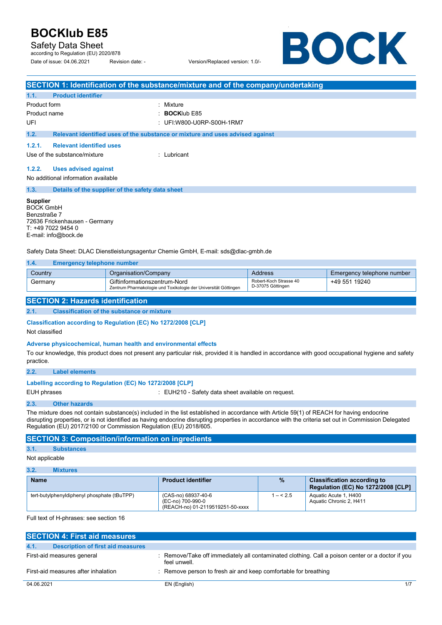Safety Data Sheet

according to Regulation (EU) 2020/878 Date of issue: 04.06.2021 Revision date: - Version/Replaced version: 1.0/-

BOCK

|                                                                                                                                                                                                                                     | SECTION 1: Identification of the substance/mixture and of the company/undertaking               |                                             |                            |
|-------------------------------------------------------------------------------------------------------------------------------------------------------------------------------------------------------------------------------------|-------------------------------------------------------------------------------------------------|---------------------------------------------|----------------------------|
| <b>Product identifier</b><br>1.1.                                                                                                                                                                                                   |                                                                                                 |                                             |                            |
| Product form<br>: Mixture<br><b>BOCKIub E85</b><br>Product name<br>UFI<br>: UFI:W800-U0RP-S00H-1RM7                                                                                                                                 |                                                                                                 |                                             |                            |
| 1.2.                                                                                                                                                                                                                                | Relevant identified uses of the substance or mixture and uses advised against                   |                                             |                            |
| 1.2.1.<br><b>Relevant identified uses</b><br>Use of the substance/mixture                                                                                                                                                           | : Lubricant                                                                                     |                                             |                            |
| 1.2.2.<br><b>Uses advised against</b><br>No additional information available                                                                                                                                                        |                                                                                                 |                                             |                            |
| 1.3.                                                                                                                                                                                                                                | Details of the supplier of the safety data sheet                                                |                                             |                            |
| <b>Supplier</b><br><b>BOCK GmbH</b><br>Benzstraße 7<br>72636 Frickenhausen - Germany<br>T: +49 7022 9454 0<br>E-mail: info@bock.de                                                                                                  | Safety Data Sheet: DLAC Dienstleistungsagentur Chemie GmbH, E-mail: sds@dlac-gmbh.de            |                                             |                            |
| 1.4.<br><b>Emergency telephone number</b>                                                                                                                                                                                           |                                                                                                 |                                             |                            |
| Country                                                                                                                                                                                                                             | Organisation/Company                                                                            | <b>Address</b>                              | Emergency telephone number |
| Germany                                                                                                                                                                                                                             | Giftinformationszentrum-Nord<br>Zentrum Pharmakologie und Toxikologie der Universität Göttingen | Robert-Koch Strasse 40<br>D-37075 Göttingen | +49 551 19240              |
| <b>SECTION 2: Hazards identification</b>                                                                                                                                                                                            |                                                                                                 |                                             |                            |
| 2.1.                                                                                                                                                                                                                                | <b>Classification of the substance or mixture</b>                                               |                                             |                            |
| Classification according to Regulation (EC) No 1272/2008 [CLP]<br>Not classified                                                                                                                                                    |                                                                                                 |                                             |                            |
| Adverse physicochemical, human health and environmental effects<br>To our knowledge, this product does not present any particular risk, provided it is handled in accordance with good occupational hygiene and safety<br>practice. |                                                                                                 |                                             |                            |
| 2.2.<br><b>Label elements</b>                                                                                                                                                                                                       |                                                                                                 |                                             |                            |

#### **Labelling according to Regulation (EC) No 1272/2008 [CLP]**

EUH phrases **EUH210** - Safety data sheet available on request.

### **2.3. Other hazards**

The mixture does not contain substance(s) included in the list established in accordance with Article 59(1) of REACH for having endocrine disrupting properties, or is not identified as having endocrine disrupting properties in accordance with the criteria set out in Commission Delegated Regulation (EU) 2017/2100 or Commission Regulation (EU) 2018/605.

### **SECTION 3: Composition/information on ingredients**

### **3.1. Substances**

### Not applicable

| 3.2.<br><b>Mixtures</b>                     |                                                                              |           |                                                                                 |
|---------------------------------------------|------------------------------------------------------------------------------|-----------|---------------------------------------------------------------------------------|
| <b>Name</b>                                 | <b>Product identifier</b>                                                    | $\%$      | <b>Classification according to</b><br><b>Regulation (EC) No 1272/2008 [CLP]</b> |
| tert-butylphenyldiphenyl phosphate (tBuTPP) | (CAS-no) 68937-40-6<br>(EC-no) 700-990-0<br>(REACH-no) 01-2119519251-50-xxxx | $1 - 5.5$ | Aquatic Acute 1, H400<br>Aquatic Chronic 2. H411                                |

Full text of H-phrases: see section 16

| <b>SECTION 4: First aid measures</b>      |                                                                                                                  |
|-------------------------------------------|------------------------------------------------------------------------------------------------------------------|
| Description of first aid measures<br>4.1. |                                                                                                                  |
|                                           |                                                                                                                  |
| First-aid measures general                | : Remove/Take off immediately all contaminated clothing. Call a poison center or a doctor if you<br>feel unwell. |
| First-aid measures after inhalation       | : Remove person to fresh air and keep comfortable for breathing                                                  |
| 04.06.2021                                | 1/7<br>EN (English)                                                                                              |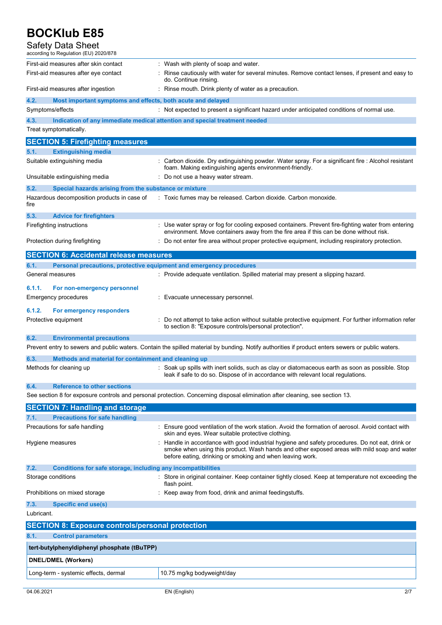| <b>Safety Data Sheet</b><br>according to Regulation (EU) 2020/878                                                    |                                                                                                                                                                                                                                                          |
|----------------------------------------------------------------------------------------------------------------------|----------------------------------------------------------------------------------------------------------------------------------------------------------------------------------------------------------------------------------------------------------|
| First-aid measures after skin contact<br>First-aid measures after eye contact                                        | : Wash with plenty of soap and water.<br>Rinse cautiously with water for several minutes. Remove contact lenses, if present and easy to<br>do. Continue rinsing.                                                                                         |
| First-aid measures after ingestion                                                                                   | : Rinse mouth. Drink plenty of water as a precaution.                                                                                                                                                                                                    |
| 4.2.<br>Most important symptoms and effects, both acute and delayed                                                  |                                                                                                                                                                                                                                                          |
| Symptoms/effects                                                                                                     | : Not expected to present a significant hazard under anticipated conditions of normal use.                                                                                                                                                               |
| 4.3.                                                                                                                 | Indication of any immediate medical attention and special treatment needed                                                                                                                                                                               |
| Treat symptomatically.                                                                                               |                                                                                                                                                                                                                                                          |
| <b>SECTION 5: Firefighting measures</b>                                                                              |                                                                                                                                                                                                                                                          |
| 5.1.<br><b>Extinguishing media</b><br>Suitable extinguishing media                                                   | Carbon dioxide. Dry extinguishing powder. Water spray. For a significant fire : Alcohol resistant<br>foam. Making extinguishing agents environment-friendly.                                                                                             |
| Unsuitable extinguishing media                                                                                       | : Do not use a heavy water stream.                                                                                                                                                                                                                       |
| 5.2.<br>Special hazards arising from the substance or mixture<br>Hazardous decomposition products in case of<br>fire | : Toxic fumes may be released. Carbon dioxide. Carbon monoxide.                                                                                                                                                                                          |
| 5.3.<br><b>Advice for firefighters</b>                                                                               |                                                                                                                                                                                                                                                          |
| Firefighting instructions                                                                                            | : Use water spray or fog for cooling exposed containers. Prevent fire-fighting water from entering<br>environment. Move containers away from the fire area if this can be done without risk.                                                             |
| Protection during firefighting                                                                                       | Do not enter fire area without proper protective equipment, including respiratory protection.                                                                                                                                                            |
| <b>SECTION 6: Accidental release measures</b>                                                                        |                                                                                                                                                                                                                                                          |
| 6.1.<br>Personal precautions, protective equipment and emergency procedures                                          |                                                                                                                                                                                                                                                          |
| General measures                                                                                                     | : Provide adequate ventilation. Spilled material may present a slipping hazard.                                                                                                                                                                          |
| 6.1.1.<br>For non-emergency personnel<br>Emergency procedures                                                        | : Evacuate unnecessary personnel.                                                                                                                                                                                                                        |
| 6.1.2.<br>For emergency responders<br>Protective equipment                                                           | Do not attempt to take action without suitable protective equipment. For further information refer<br>to section 8: "Exposure controls/personal protection".                                                                                             |
| <b>Environmental precautions</b><br>6.2.                                                                             |                                                                                                                                                                                                                                                          |
|                                                                                                                      | Prevent entry to sewers and public waters. Contain the spilled material by bunding. Notify authorities if product enters sewers or public waters.                                                                                                        |
| 6.3.<br>Methods and material for containment and cleaning up                                                         |                                                                                                                                                                                                                                                          |
| Methods for cleaning up                                                                                              | Soak up spills with inert solids, such as clay or diatomaceous earth as soon as possible. Stop<br>leak if safe to do so. Dispose of in accordance with relevant local regulations.                                                                       |
| 6.4.<br><b>Reference to other sections</b>                                                                           | See section 8 for exposure controls and personal protection. Concerning disposal elimination after cleaning, see section 13.                                                                                                                             |
| <b>SECTION 7: Handling and storage</b>                                                                               |                                                                                                                                                                                                                                                          |
| <b>Precautions for safe handling</b><br>7.1.                                                                         |                                                                                                                                                                                                                                                          |
| Precautions for safe handling                                                                                        | : Ensure good ventilation of the work station. Avoid the formation of aerosol. Avoid contact with<br>skin and eyes. Wear suitable protective clothing.                                                                                                   |
| Hygiene measures                                                                                                     | Handle in accordance with good industrial hygiene and safety procedures. Do not eat, drink or<br>smoke when using this product. Wash hands and other exposed areas with mild soap and water<br>before eating, drinking or smoking and when leaving work. |
| Conditions for safe storage, including any incompatibilities<br>7.2.                                                 |                                                                                                                                                                                                                                                          |
| Storage conditions                                                                                                   | Store in original container. Keep container tightly closed. Keep at temperature not exceeding the<br>flash point.                                                                                                                                        |
| Prohibitions on mixed storage                                                                                        | : Keep away from food, drink and animal feedingstuffs.                                                                                                                                                                                                   |
| 7.3.<br><b>Specific end use(s)</b><br>Lubricant.                                                                     |                                                                                                                                                                                                                                                          |
|                                                                                                                      |                                                                                                                                                                                                                                                          |
| <b>SECTION 8: Exposure controls/personal protection</b>                                                              |                                                                                                                                                                                                                                                          |
| 8.1.<br><b>Control parameters</b>                                                                                    |                                                                                                                                                                                                                                                          |
| tert-butylphenyldiphenyl phosphate (tBuTPP)                                                                          |                                                                                                                                                                                                                                                          |
| <b>DNEL/DMEL (Workers)</b>                                                                                           |                                                                                                                                                                                                                                                          |
| Long-term - systemic effects, dermal                                                                                 | 10.75 mg/kg bodyweight/day                                                                                                                                                                                                                               |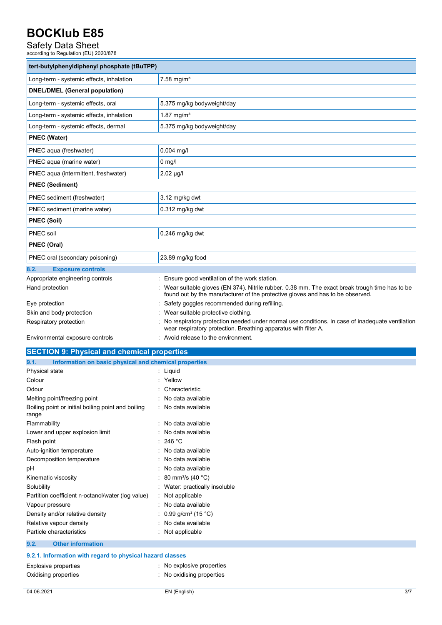# Safety Data Sheet<br>according to Regulation (EU) 2020/878

| tert-butylphenyldiphenyl phosphate (tBuTPP) |                                                                                                                                                                                 |
|---------------------------------------------|---------------------------------------------------------------------------------------------------------------------------------------------------------------------------------|
| Long-term - systemic effects, inhalation    | $7.58$ mg/m <sup>3</sup>                                                                                                                                                        |
| <b>DNEL/DMEL (General population)</b>       |                                                                                                                                                                                 |
| Long-term - systemic effects, oral          | 5.375 mg/kg bodyweight/day                                                                                                                                                      |
| Long-term - systemic effects, inhalation    | 1.87 mg/ $m^3$                                                                                                                                                                  |
| Long-term - systemic effects, dermal        | 5.375 mg/kg bodyweight/day                                                                                                                                                      |
| <b>PNEC (Water)</b>                         |                                                                                                                                                                                 |
| PNEC aqua (freshwater)                      | $0.004$ mg/l                                                                                                                                                                    |
| PNEC aqua (marine water)                    | $0$ mg/l                                                                                                                                                                        |
| PNEC aqua (intermittent, freshwater)        | $2.02 \mu g/l$                                                                                                                                                                  |
| <b>PNEC (Sediment)</b>                      |                                                                                                                                                                                 |
| PNEC sediment (freshwater)                  | 3.12 mg/kg dwt                                                                                                                                                                  |
| PNEC sediment (marine water)                | 0.312 mg/kg dwt                                                                                                                                                                 |
| <b>PNEC (Soil)</b>                          |                                                                                                                                                                                 |
| PNEC soil                                   | $0.246$ mg/kg dwt                                                                                                                                                               |
| <b>PNEC (Oral)</b>                          |                                                                                                                                                                                 |
| PNEC oral (secondary poisoning)             | 23.89 mg/kg food                                                                                                                                                                |
| <b>Exposure controls</b><br>8.2.            |                                                                                                                                                                                 |
| Appropriate engineering controls            | Ensure good ventilation of the work station.                                                                                                                                    |
| Hand protection                             | Wear suitable gloves (EN 374). Nitrile rubber, 0.38 mm. The exact break trough time has to be<br>found out by the manufacturer of the protective gloves and has to be observed. |
| Eye protection                              | Safety goggles recommended during refilling.                                                                                                                                    |
| Skin and body protection                    | Wear suitable protective clothing.                                                                                                                                              |
| Respiratory protection                      | No respiratory protection needed under normal use conditions. In case of inadequate ventilation<br>wear respiratory protection. Breathing apparatus with filter A.              |

Environmental exposure controls : Avoid release to the environment.

| <b>SECTION 9: Physical and chemical properties</b>            |                                |  |
|---------------------------------------------------------------|--------------------------------|--|
| Information on basic physical and chemical properties<br>9.1. |                                |  |
| Physical state                                                | : Liquid                       |  |
| Colour                                                        | Yellow                         |  |
| Odour                                                         | Characteristic                 |  |
| Melting point/freezing point                                  | No data available              |  |
| Boiling point or initial boiling point and boiling<br>range   | : No data available            |  |
| Flammability                                                  | No data available              |  |
| Lower and upper explosion limit                               | No data available              |  |
| Flash point                                                   | 246 °C                         |  |
| Auto-ignition temperature                                     | No data available              |  |
| Decomposition temperature                                     | No data available              |  |
| pH                                                            | No data available              |  |
| Kinematic viscosity                                           | 80 mm <sup>2</sup> /s (40 °C)  |  |
| Solubility                                                    | : Water: practically insoluble |  |
| Partition coefficient n-octanol/water (log value)             | Not applicable                 |  |
| Vapour pressure                                               | No data available              |  |
| Density and/or relative density                               | 0.99 g/cm <sup>3</sup> (15 °C) |  |
| Relative vapour density                                       | No data available              |  |
| Particle characteristics                                      | : Not applicable               |  |
| <b>Other information</b><br>9.2.                              |                                |  |
| 9.2.1. Information with regard to physical hazard classes     |                                |  |
| <b>Explosive properties</b>                                   | : No explosive properties      |  |
| Oxidising properties                                          | No oxidising properties        |  |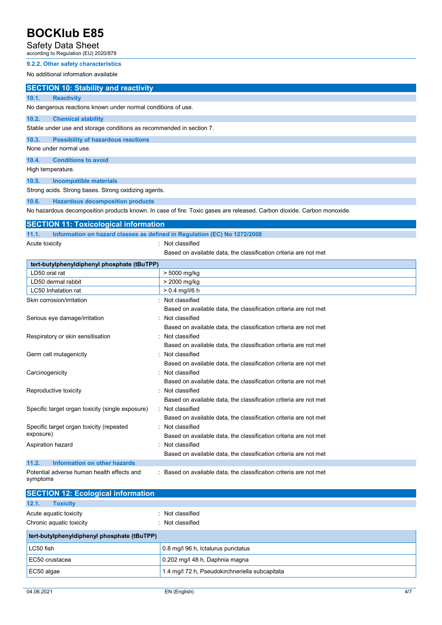### Safety Data Sheet

according to Regulation (EU) 2020/878

### **9.2.2. Other safety characteristics**

No additional information available

### **SECTION 10: Stability and reactivity**

**10.1. Reactivity**  No dangerous reactions known under normal conditions of use.

#### **10.2. Chemical stability**

Stable under use and storage conditions as recommended in section 7.

**10.3. Possibility of hazardous reactions** 

None under normal use.

**10.4. Conditions to avoid** 

High temperature.

**10.5. Incompatible materials** 

Strong acids. Strong bases. Strong oxidizing agents.

### **10.6. Hazardous decomposition products**

No hazardous decomposition products known. In case of fire: Toxic gases are released. Carbon dioxide. Carbon monoxide.

### **SECTION 11: Toxicological information**

**11.1. Information on hazard classes as defined in Regulation (EC) No 1272/2008** 

Acute toxicity **in the case of the CALC CONTEX** in Not classified

Based on available data, the classification criteria are not met

| tert-butylphenyldiphenyl phosphate (tBuTPP)            |                                                                  |
|--------------------------------------------------------|------------------------------------------------------------------|
| LD50 oral rat                                          | > 5000 mg/kg                                                     |
| LD50 dermal rabbit                                     | > 2000 mg/kg                                                     |
| LC50 Inhalation rat                                    | $> 0.4$ mg/l/6 h                                                 |
| Skin corrosion/irritation                              | : Not classified                                                 |
|                                                        | Based on available data, the classification criteria are not met |
| Serious eye damage/irritation                          | Not classified                                                   |
|                                                        | Based on available data, the classification criteria are not met |
| Respiratory or skin sensitisation                      | : Not classified                                                 |
|                                                        | Based on available data, the classification criteria are not met |
| Germ cell mutagenicity                                 | : Not classified                                                 |
|                                                        | Based on available data, the classification criteria are not met |
| Carcinogenicity                                        | : Not classified                                                 |
|                                                        | Based on available data, the classification criteria are not met |
| Reproductive toxicity                                  | Not classified                                                   |
|                                                        | Based on available data, the classification criteria are not met |
| Specific target organ toxicity (single exposure)       | : Not classified                                                 |
|                                                        | Based on available data, the classification criteria are not met |
| Specific target organ toxicity (repeated               | : Not classified                                                 |
| exposure)                                              | Based on available data, the classification criteria are not met |
| Aspiration hazard                                      | Not classified                                                   |
|                                                        | Based on available data, the classification criteria are not met |
| 11.2.<br>Information on other hazards                  |                                                                  |
| Potential adverse human health effects and<br>symptoms | Based on available data, the classification criteria are not met |

| <b>SECTION 12: Ecological information</b>   |                                                |
|---------------------------------------------|------------------------------------------------|
| 12.1.<br><b>Toxicity</b>                    |                                                |
| Acute aquatic toxicity                      | : Not classified                               |
| Chronic aquatic toxicity                    | Not classified                                 |
| tert-butylphenyldiphenyl phosphate (tBuTPP) |                                                |
| LC50 fish                                   | 0.8 mg/l 96 h, Ictalurus punctatus             |
| EC50 crustacea                              | 0.202 mg/l 48 h, Daphnia magna                 |
| EC50 algae                                  | 1.4 mg/l 72 h, Pseudokirchneriella subcapitata |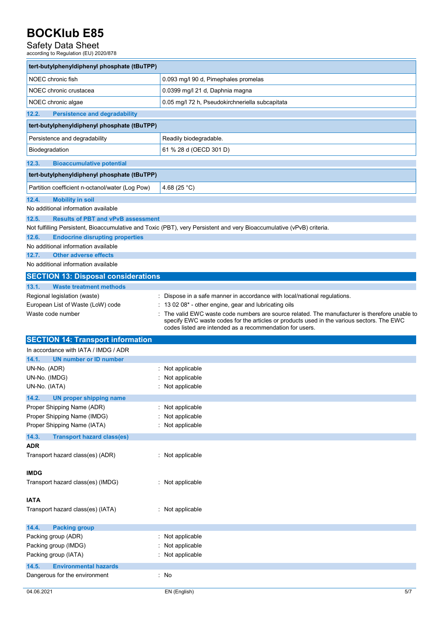# Safety Data Sheet<br>according to Regulation (EU) 2020/878

| tert-butylphenyldiphenyl phosphate (tBuTPP)                                  |                                                                                                                                                                                                                                                       |
|------------------------------------------------------------------------------|-------------------------------------------------------------------------------------------------------------------------------------------------------------------------------------------------------------------------------------------------------|
| NOEC chronic fish                                                            | 0.093 mg/l 90 d, Pimephales promelas                                                                                                                                                                                                                  |
| NOEC chronic crustacea                                                       | 0.0399 mg/l 21 d, Daphnia magna                                                                                                                                                                                                                       |
| NOEC chronic algae                                                           | 0.05 mg/l 72 h, Pseudokirchneriella subcapitata                                                                                                                                                                                                       |
| 12.2.<br><b>Persistence and degradability</b>                                |                                                                                                                                                                                                                                                       |
| tert-butylphenyldiphenyl phosphate (tBuTPP)                                  |                                                                                                                                                                                                                                                       |
| Persistence and degradability                                                | Readily biodegradable.                                                                                                                                                                                                                                |
| Biodegradation                                                               | 61 % 28 d (OECD 301 D)                                                                                                                                                                                                                                |
| 12.3.<br><b>Bioaccumulative potential</b>                                    |                                                                                                                                                                                                                                                       |
| tert-butylphenyldiphenyl phosphate (tBuTPP)                                  |                                                                                                                                                                                                                                                       |
|                                                                              |                                                                                                                                                                                                                                                       |
| Partition coefficient n-octanol/water (Log Pow)                              | 4.68 (25 °C)                                                                                                                                                                                                                                          |
| 12.4.<br><b>Mobility in soil</b>                                             |                                                                                                                                                                                                                                                       |
| No additional information available                                          |                                                                                                                                                                                                                                                       |
| 12.5.<br><b>Results of PBT and vPvB assessment</b>                           |                                                                                                                                                                                                                                                       |
|                                                                              | Not fulfilling Persistent, Bioaccumulative and Toxic (PBT), very Persistent and very Bioaccumulative (vPvB) criteria.                                                                                                                                 |
| 12.6.<br><b>Endocrine disrupting properties</b>                              |                                                                                                                                                                                                                                                       |
| No additional information available<br><b>Other adverse effects</b><br>12.7. |                                                                                                                                                                                                                                                       |
| No additional information available                                          |                                                                                                                                                                                                                                                       |
|                                                                              |                                                                                                                                                                                                                                                       |
| <b>SECTION 13: Disposal considerations</b>                                   |                                                                                                                                                                                                                                                       |
| 13.1.<br><b>Waste treatment methods</b>                                      |                                                                                                                                                                                                                                                       |
| Regional legislation (waste)                                                 | Dispose in a safe manner in accordance with local/national regulations.                                                                                                                                                                               |
| European List of Waste (LoW) code                                            | 13 02 08* - other engine, gear and lubricating oils                                                                                                                                                                                                   |
| Waste code number                                                            | The valid EWC waste code numbers are source related. The manufacturer is therefore unable to<br>specify EWC waste codes for the articles or products used in the various sectors. The EWC<br>codes listed are intended as a recommendation for users. |
| <b>SECTION 14: Transport information</b>                                     |                                                                                                                                                                                                                                                       |
| In accordance with IATA / IMDG / ADR                                         |                                                                                                                                                                                                                                                       |
| <b>UN number or ID number</b><br>14.1.                                       |                                                                                                                                                                                                                                                       |
| UN-No. (ADR)                                                                 | : Not applicable                                                                                                                                                                                                                                      |
| UN-No. (IMDG)                                                                | Not applicable                                                                                                                                                                                                                                        |
| UN-No. (IATA)                                                                | Not applicable                                                                                                                                                                                                                                        |
| 14.2.<br><b>UN proper shipping name</b>                                      |                                                                                                                                                                                                                                                       |
| Proper Shipping Name (ADR)                                                   | Not applicable                                                                                                                                                                                                                                        |
| Proper Shipping Name (IMDG)                                                  | Not applicable                                                                                                                                                                                                                                        |
| Proper Shipping Name (IATA)                                                  | Not applicable                                                                                                                                                                                                                                        |
| 14.3.<br><b>Transport hazard class(es)</b>                                   |                                                                                                                                                                                                                                                       |
| <b>ADR</b>                                                                   |                                                                                                                                                                                                                                                       |
| Transport hazard class(es) (ADR)                                             | : Not applicable                                                                                                                                                                                                                                      |
| <b>IMDG</b>                                                                  |                                                                                                                                                                                                                                                       |
| Transport hazard class(es) (IMDG)                                            | : Not applicable                                                                                                                                                                                                                                      |
|                                                                              |                                                                                                                                                                                                                                                       |
| <b>IATA</b>                                                                  |                                                                                                                                                                                                                                                       |
| Transport hazard class(es) (IATA)                                            | : Not applicable                                                                                                                                                                                                                                      |
| 14.4.<br><b>Packing group</b>                                                |                                                                                                                                                                                                                                                       |
| Packing group (ADR)                                                          | Not applicable                                                                                                                                                                                                                                        |
| Packing group (IMDG)                                                         | Not applicable                                                                                                                                                                                                                                        |
| Packing group (IATA)                                                         | Not applicable                                                                                                                                                                                                                                        |
| 14.5.<br><b>Environmental hazards</b>                                        |                                                                                                                                                                                                                                                       |
| Dangerous for the environment                                                | : No                                                                                                                                                                                                                                                  |
|                                                                              |                                                                                                                                                                                                                                                       |
|                                                                              | 5/7                                                                                                                                                                                                                                                   |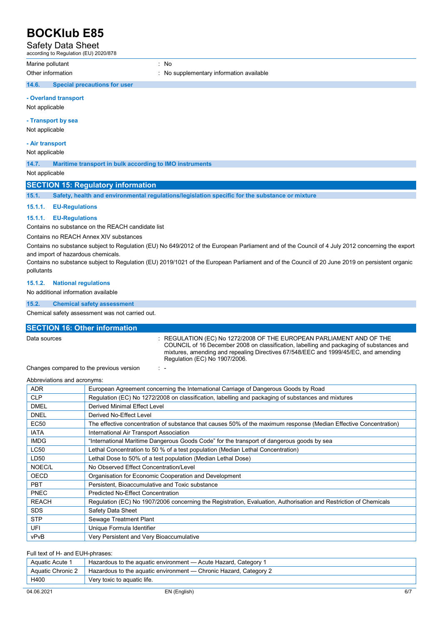Safety Data Sheet

according to Regulation (EU) 2020/878

Marine pollutant in the set of the set of the set of the set of the set of the set of the set of the set of the set of the set of the set of the set of the set of the set of the set of the set of the set of the set of the

Other information **interest in the supplementary information available**  $\cdot$  No supplementary information available

### **14.6. Special precautions for user**

**- Overland transport** 

Not applicable

### **- Transport by sea**

Not applicable

### **- Air transport**

Not applicable

**14.7. Maritime transport in bulk according to IMO instruments** 

Not applicable

### **SECTION 15: Regulatory information**

**15.1. Safety, health and environmental regulations/legislation specific for the substance or mixture** 

### **15.1.1. EU-Regulations**

### **15.1.1. EU-Regulations**

Contains no substance on the REACH candidate list

Contains no REACH Annex XIV substances

Contains no substance subject to Regulation (EU) No 649/2012 of the European Parliament and of the Council of 4 July 2012 concerning the export and import of hazardous chemicals.

Contains no substance subject to Regulation (EU) 2019/1021 of the European Parliament and of the Council of 20 June 2019 on persistent organic pollutants

### **15.1.2. National regulations**

No additional information available

#### **15.2. Chemical safety assessment**

Chemical safety assessment was not carried out.

### **SECTION 16: Other information**

Data sources **in the sources** in the REGULATION (EC) No 1272/2008 OF THE EUROPEAN PARLIAMENT AND OF THE COUNCIL of 16 December 2008 on classification, labelling and packaging of substances and mixtures, amending and repealing Directives 67/548/EEC and 1999/45/EC, and amending Regulation (EC) No 1907/2006.

Changes compared to the previous version : -

Abbreviations and acronyms:

| <b>ADR</b>   | European Agreement concerning the International Carriage of Dangerous Goods by Road                               |
|--------------|-------------------------------------------------------------------------------------------------------------------|
| <b>CLP</b>   | Regulation (EC) No 1272/2008 on classification, labelling and packaging of substances and mixtures                |
| <b>DMEL</b>  | <b>Derived Minimal Effect Level</b>                                                                               |
| <b>DNEL</b>  | Derived No-Effect Level                                                                                           |
| <b>EC50</b>  | The effective concentration of substance that causes 50% of the maximum response (Median Effective Concentration) |
| <b>IATA</b>  | International Air Transport Association                                                                           |
| <b>IMDG</b>  | "International Maritime Dangerous Goods Code" for the transport of dangerous goods by sea                         |
| <b>LC50</b>  | Lethal Concentration to 50 % of a test population (Median Lethal Concentration)                                   |
| LD50         | Lethal Dose to 50% of a test population (Median Lethal Dose)                                                      |
| NOEC/L       | No Observed Effect Concentration/Level                                                                            |
| <b>OECD</b>  | Organisation for Economic Cooperation and Development                                                             |
| <b>PBT</b>   | Persistent, Bioaccumulative and Toxic substance                                                                   |
| <b>PNEC</b>  | <b>Predicted No-Effect Concentration</b>                                                                          |
| <b>REACH</b> | Regulation (EC) No 1907/2006 concerning the Registration, Evaluation, Authorisation and Restriction of Chemicals  |
| <b>SDS</b>   | Safety Data Sheet                                                                                                 |
| <b>STP</b>   | Sewage Treatment Plant                                                                                            |
| <b>UFI</b>   | Unique Formula Identifier                                                                                         |
| vPvB         | Very Persistent and Very Bioaccumulative                                                                          |
|              |                                                                                                                   |

#### Full text of H- and EUH-phrases:

| Aquatic Acute 1   | . Hazardous to the aquatic environment — Acute Hazard, Category 1 |
|-------------------|-------------------------------------------------------------------|
| Aquatic Chronic 2 | Hazardous to the aquatic environment — Chronic Hazard, Category 2 |
| H400              | Very toxic to aguatic life.                                       |